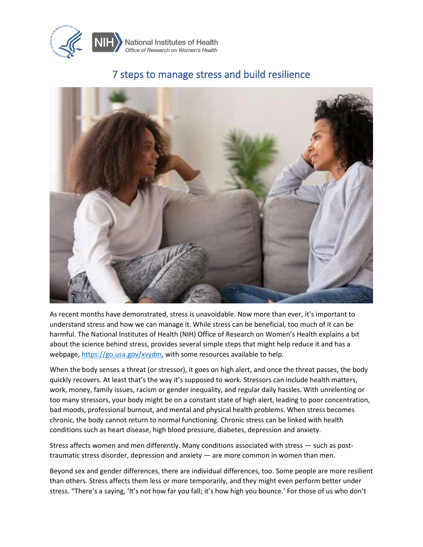

## 7 steps to manage stress and build resilience



As recent months have demonstrated, stress is unavoidable. Now more than ever, it's important to understand stress and how we can manage it. While stress can be beneficial, too much of it can be harmful. The National Institutes of Health (NIH) Office of Research on Women's Health explains a bit about the science behind stress, provides several simple steps that might help reduce it and has a webpage, [https://go.usa.gov/xvydm,](https://go.usa.gov/xvydm) with some resources available to help.

When the body senses a threat (or stressor), it goes on high alert, and once the threat passes, the body quickly recovers. At least that's the way it's supposed to work. Stressors can include health matters, work, money, family issues, racism or gender inequality, and regular daily hassles. With unrelenting or too many stressors, your body might be on a constant state of high alert, leading to poor concentration, bad moods, professional burnout, and mental and physical health problems. When stress becomes chronic, the body cannot return to normal functioning. Chronic stress can be linked with health conditions such as heart disease, high blood pressure, diabetes, depression and anxiety.

Stress affects women and men differently. Many conditions associated with stress — such as posttraumatic stress disorder, depression and anxiety — are more common in women than men.

Beyond sex and gender differences, there are individual differences, too. Some people are more resilient than others. Stress affects them less or more temporarily, and they might even perform better under stress. "There's a saying, 'It's not how far you fall; it's how high you bounce.' For those of us who don't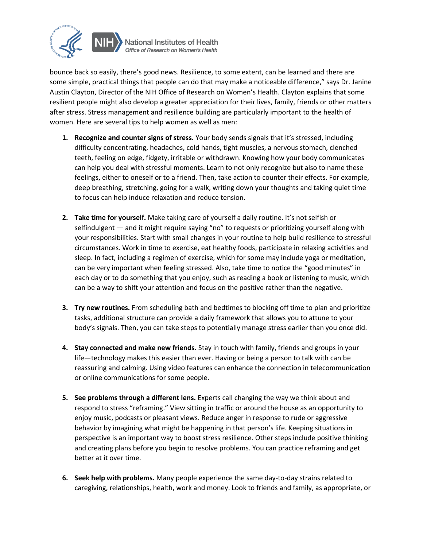

National Institutes of Health Office of Research on Women's Health

bounce back so easily, there's good news. Resilience, to some extent, can be learned and there are some simple, practical things that people can do that may make a noticeable difference," says Dr. Janine Austin Clayton, Director of the NIH Office of Research on Women's Health. Clayton explains that some resilient people might also develop a greater appreciation for their lives, family, friends or other matters after stress. Stress management and resilience building are particularly important to the health of women. Here are several tips to help women as well as men:

- **1. Recognize and counter signs of stress.** Your body sends signals that it's stressed, including difficulty concentrating, headaches, cold hands, tight muscles, a nervous stomach, clenched teeth, feeling on edge, fidgety, irritable or withdrawn. Knowing how your body communicates can help you deal with stressful moments. Learn to not only recognize but also to name these feelings, either to oneself or to a friend. Then, take action to counter their effects. For example, deep breathing, stretching, going for a walk, writing down your thoughts and taking quiet time to focus can help induce relaxation and reduce tension.
- **2. Take time for yourself.** Make taking care of yourself a daily routine. It's not selfish or selfindulgent — and it might require saying "no" to requests or prioritizing yourself along with your responsibilities. Start with small changes in your routine to help build resilience to stressful circumstances. Work in time to exercise, eat healthy foods, participate in relaxing activities and sleep. In fact, including a regimen of exercise, which for some may include yoga or meditation, can be very important when feeling stressed. Also, take time to notice the "good minutes" in each day or to do something that you enjoy, such as reading a book or listening to music, which can be a way to shift your attention and focus on the positive rather than the negative.
- **3. Try new routines.** From scheduling bath and bedtimes to blocking off time to plan and prioritize tasks, additional structure can provide a daily framework that allows you to attune to your body's signals. Then, you can take steps to potentially manage stress earlier than you once did.
- **4. Stay connected and make new friends.** Stay in touch with family, friends and groups in your life—technology makes this easier than ever. Having or being a person to talk with can be reassuring and calming. Using video features can enhance the connection in telecommunication or online communications for some people.
- **5. See problems through a different lens.** Experts call changing the way we think about and respond to stress "reframing." View sitting in traffic or around the house as an opportunity to enjoy music, podcasts or pleasant views. Reduce anger in response to rude or aggressive behavior by imagining what might be happening in that person's life. Keeping situations in perspective is an important way to boost stress resilience. Other steps include positive thinking and creating plans before you begin to resolve problems. You can practice reframing and get better at it over time.
- **6. Seek help with problems.** Many people experience the same day-to-day strains related to caregiving, relationships, health, work and money. Look to friends and family, as appropriate, or